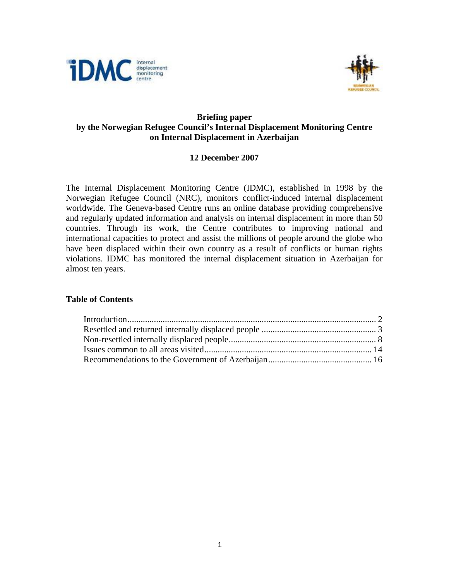



# **Briefing paper by the Norwegian Refugee Council's Internal Displacement Monitoring Centre on Internal Displacement in Azerbaijan**

# **12 December 2007**

The Internal Displacement Monitoring Centre (IDMC), established in 1998 by the Norwegian Refugee Council (NRC), monitors conflict-induced internal displacement worldwide. The Geneva-based Centre runs an online database providing comprehensive and regularly updated information and analysis on internal displacement in more than 50 countries. Through its work, the Centre contributes to improving national and international capacities to protect and assist the millions of people around the globe who have been displaced within their own country as a result of conflicts or human rights violations. IDMC has monitored the internal displacement situation in Azerbaijan for almost ten years.

## **Table of Contents**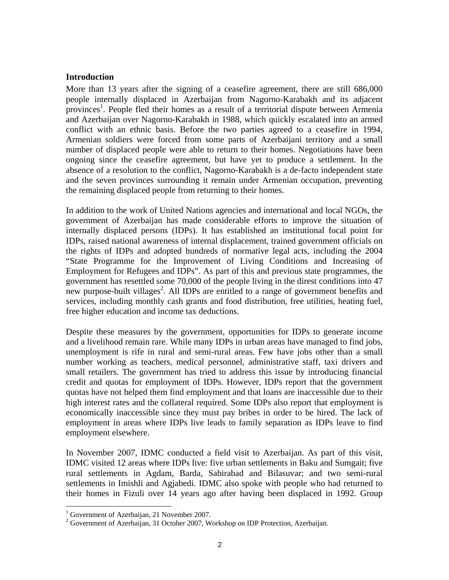#### **Introduction**

More than 13 years after the signing of a ceasefire agreement, there are still 686,000 people internally displaced in Azerbaijan from Nagorno-Karabakh and its adjacent provinces<sup>1</sup>. People fled their homes as a result of a territorial dispute between Armenia and Azerbaijan over Nagorno-Karabakh in 1988, which quickly escalated into an armed conflict with an ethnic basis. Before the two parties agreed to a ceasefire in 1994, Armenian soldiers were forced from some parts of Azerbaijani territory and a small number of displaced people were able to return to their homes. Negotiations have been ongoing since the ceasefire agreement, but have yet to produce a settlement. In the absence of a resolution to the conflict, Nagorno-Karabakh is a de-facto independent state and the seven provinces surrounding it remain under Armenian occupation, preventing the remaining displaced people from returning to their homes.

In addition to the work of United Nations agencies and international and local NGOs, the government of Azerbaijan has made considerable efforts to improve the situation of internally displaced persons (IDPs). It has established an institutional focal point for IDPs, raised national awareness of internal displacement, trained government officials on the rights of IDPs and adopted hundreds of normative legal acts, including the 2004 "State Programme for the Improvement of Living Conditions and Increasing of Employment for Refugees and IDPs". As part of this and previous state programmes, the government has resettled some 70,000 of the people living in the direst conditions into 47 new purpose-built villages<sup>2</sup>. All IDPs are entitled to a range of government benefits and services, including monthly cash grants and food distribution, free utilities, heating fuel, free higher education and income tax deductions.

Despite these measures by the government, opportunities for IDPs to generate income and a livelihood remain rare. While many IDPs in urban areas have managed to find jobs, unemployment is rife in rural and semi-rural areas. Few have jobs other than a small number working as teachers, medical personnel, administrative staff, taxi drivers and small retailers. The government has tried to address this issue by introducing financial credit and quotas for employment of IDPs. However, IDPs report that the government quotas have not helped them find employment and that loans are inaccessible due to their high interest rates and the collateral required. Some IDPs also report that employment is economically inaccessible since they must pay bribes in order to be hired. The lack of employment in areas where IDPs live leads to family separation as IDPs leave to find employment elsewhere.

In November 2007, IDMC conducted a field visit to Azerbaijan. As part of this visit, IDMC visited 12 areas where IDPs live: five urban settlements in Baku and Sumgait; five rural settlements in Agdam, Barda, Sabirabad and Bilasuvar; and two semi-rural settlements in Imishli and Agjabedi. IDMC also spoke with people who had returned to their homes in Fizuli over 14 years ago after having been displaced in 1992. Group

 $\overline{a}$ 

<sup>&</sup>lt;sup>1</sup> Government of Azerbaijan, 21 November 2007.

 $2^2$  Government of Azerbaijan, 31 October 2007, Workshop on IDP Protection, Azerbaijan.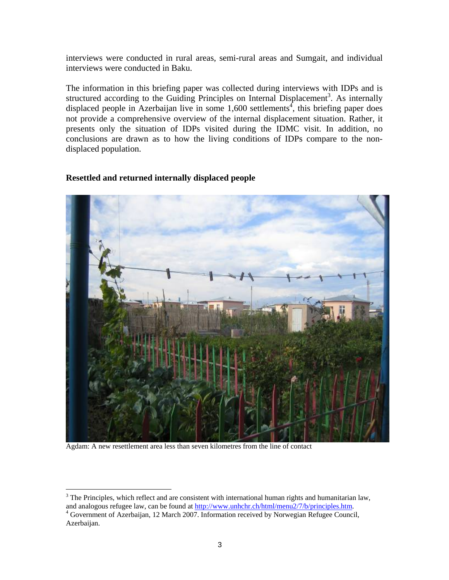interviews were conducted in rural areas, semi-rural areas and Sumgait, and individual interviews were conducted in Baku.

The information in this briefing paper was collected during interviews with IDPs and is structured according to the Guiding Principles on Internal Displacement<sup>3</sup>. As internally displaced people in Azerbaijan live in some  $1,600$  settlements<sup>4</sup>, this briefing paper does not provide a comprehensive overview of the internal displacement situation. Rather, it presents only the situation of IDPs visited during the IDMC visit. In addition, no conclusions are drawn as to how the living conditions of IDPs compare to the nondisplaced population.



# **Resettled and returned internally displaced people**

Agdam: A new resettlement area less than seven kilometres from the line of contact

 $\overline{a}$ 

 $3$  The Principles, which reflect and are consistent with international human rights and humanitarian law, and analogous refugee law, can be found at http://www.unhchr.ch/html/menu2/7/b/principles.htm.

<sup>&</sup>lt;sup>4</sup> Government of Azerbaijan, 12 March 2007. Information received by Norwegian Refugee Council, Azerbaijan.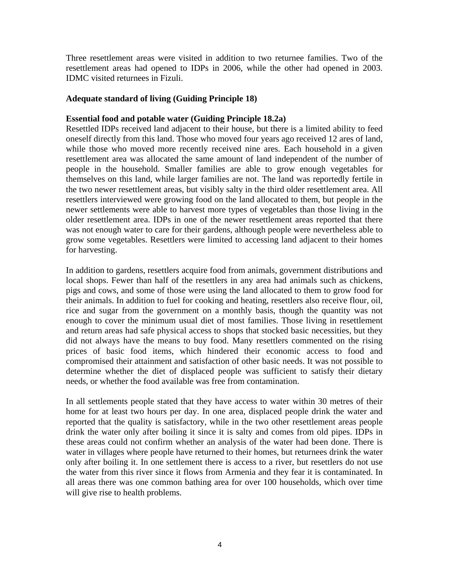Three resettlement areas were visited in addition to two returnee families. Two of the resettlement areas had opened to IDPs in 2006, while the other had opened in 2003. IDMC visited returnees in Fizuli.

## **Adequate standard of living (Guiding Principle 18)**

## **Essential food and potable water (Guiding Principle 18.2a)**

Resettled IDPs received land adjacent to their house, but there is a limited ability to feed oneself directly from this land. Those who moved four years ago received 12 ares of land, while those who moved more recently received nine ares. Each household in a given resettlement area was allocated the same amount of land independent of the number of people in the household. Smaller families are able to grow enough vegetables for themselves on this land, while larger families are not. The land was reportedly fertile in the two newer resettlement areas, but visibly salty in the third older resettlement area. All resettlers interviewed were growing food on the land allocated to them, but people in the newer settlements were able to harvest more types of vegetables than those living in the older resettlement area. IDPs in one of the newer resettlement areas reported that there was not enough water to care for their gardens, although people were nevertheless able to grow some vegetables. Resettlers were limited to accessing land adjacent to their homes for harvesting.

In addition to gardens, resettlers acquire food from animals, government distributions and local shops. Fewer than half of the resettlers in any area had animals such as chickens, pigs and cows, and some of those were using the land allocated to them to grow food for their animals. In addition to fuel for cooking and heating, resettlers also receive flour, oil, rice and sugar from the government on a monthly basis, though the quantity was not enough to cover the minimum usual diet of most families. Those living in resettlement and return areas had safe physical access to shops that stocked basic necessities, but they did not always have the means to buy food. Many resettlers commented on the rising prices of basic food items, which hindered their economic access to food and compromised their attainment and satisfaction of other basic needs. It was not possible to determine whether the diet of displaced people was sufficient to satisfy their dietary needs, or whether the food available was free from contamination.

In all settlements people stated that they have access to water within 30 metres of their home for at least two hours per day. In one area, displaced people drink the water and reported that the quality is satisfactory, while in the two other resettlement areas people drink the water only after boiling it since it is salty and comes from old pipes. IDPs in these areas could not confirm whether an analysis of the water had been done. There is water in villages where people have returned to their homes, but returnees drink the water only after boiling it. In one settlement there is access to a river, but resettlers do not use the water from this river since it flows from Armenia and they fear it is contaminated. In all areas there was one common bathing area for over 100 households, which over time will give rise to health problems.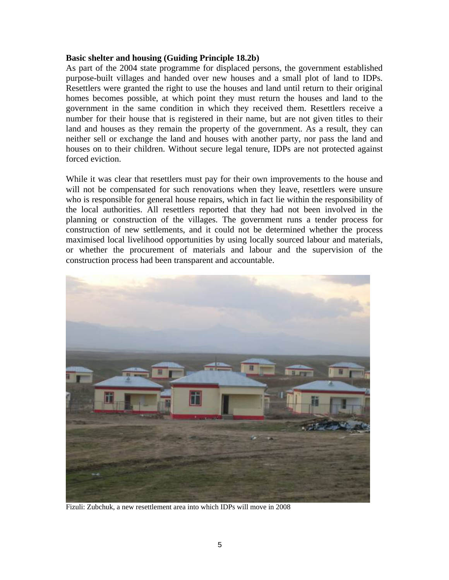#### **Basic shelter and housing (Guiding Principle 18.2b)**

As part of the 2004 state programme for displaced persons, the government established purpose-built villages and handed over new houses and a small plot of land to IDPs. Resettlers were granted the right to use the houses and land until return to their original homes becomes possible, at which point they must return the houses and land to the government in the same condition in which they received them. Resettlers receive a number for their house that is registered in their name, but are not given titles to their land and houses as they remain the property of the government. As a result, they can neither sell or exchange the land and houses with another party, nor pass the land and houses on to their children. Without secure legal tenure, IDPs are not protected against forced eviction.

While it was clear that resettlers must pay for their own improvements to the house and will not be compensated for such renovations when they leave, resettlers were unsure who is responsible for general house repairs, which in fact lie within the responsibility of the local authorities. All resettlers reported that they had not been involved in the planning or construction of the villages. The government runs a tender process for construction of new settlements, and it could not be determined whether the process maximised local livelihood opportunities by using locally sourced labour and materials, or whether the procurement of materials and labour and the supervision of the construction process had been transparent and accountable.



Fizuli: Zubchuk, a new resettlement area into which IDPs will move in 2008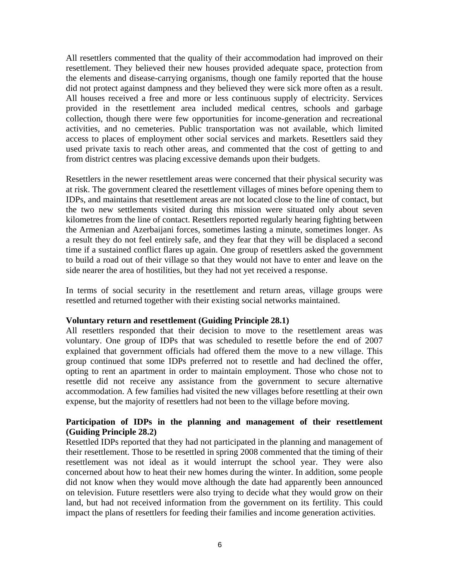All resettlers commented that the quality of their accommodation had improved on their resettlement. They believed their new houses provided adequate space, protection from the elements and disease-carrying organisms, though one family reported that the house did not protect against dampness and they believed they were sick more often as a result. All houses received a free and more or less continuous supply of electricity. Services provided in the resettlement area included medical centres, schools and garbage collection, though there were few opportunities for income-generation and recreational activities, and no cemeteries. Public transportation was not available, which limited access to places of employment other social services and markets. Resettlers said they used private taxis to reach other areas, and commented that the cost of getting to and from district centres was placing excessive demands upon their budgets.

Resettlers in the newer resettlement areas were concerned that their physical security was at risk. The government cleared the resettlement villages of mines before opening them to IDPs, and maintains that resettlement areas are not located close to the line of contact, but the two new settlements visited during this mission were situated only about seven kilometres from the line of contact. Resettlers reported regularly hearing fighting between the Armenian and Azerbaijani forces, sometimes lasting a minute, sometimes longer. As a result they do not feel entirely safe, and they fear that they will be displaced a second time if a sustained conflict flares up again. One group of resettlers asked the government to build a road out of their village so that they would not have to enter and leave on the side nearer the area of hostilities, but they had not yet received a response.

In terms of social security in the resettlement and return areas, village groups were resettled and returned together with their existing social networks maintained.

#### **Voluntary return and resettlement (Guiding Principle 28.1)**

All resettlers responded that their decision to move to the resettlement areas was voluntary. One group of IDPs that was scheduled to resettle before the end of 2007 explained that government officials had offered them the move to a new village. This group continued that some IDPs preferred not to resettle and had declined the offer, opting to rent an apartment in order to maintain employment. Those who chose not to resettle did not receive any assistance from the government to secure alternative accommodation. A few families had visited the new villages before resettling at their own expense, but the majority of resettlers had not been to the village before moving.

## **Participation of IDPs in the planning and management of their resettlement (Guiding Principle 28.2)**

Resettled IDPs reported that they had not participated in the planning and management of their resettlement. Those to be resettled in spring 2008 commented that the timing of their resettlement was not ideal as it would interrupt the school year. They were also concerned about how to heat their new homes during the winter. In addition, some people did not know when they would move although the date had apparently been announced on television. Future resettlers were also trying to decide what they would grow on their land, but had not received information from the government on its fertility. This could impact the plans of resettlers for feeding their families and income generation activities.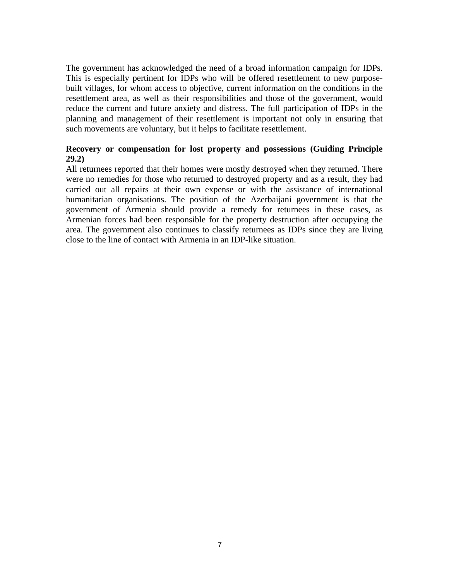The government has acknowledged the need of a broad information campaign for IDPs. This is especially pertinent for IDPs who will be offered resettlement to new purposebuilt villages, for whom access to objective, current information on the conditions in the resettlement area, as well as their responsibilities and those of the government, would reduce the current and future anxiety and distress. The full participation of IDPs in the planning and management of their resettlement is important not only in ensuring that such movements are voluntary, but it helps to facilitate resettlement.

## **Recovery or compensation for lost property and possessions (Guiding Principle 29.2)**

All returnees reported that their homes were mostly destroyed when they returned. There were no remedies for those who returned to destroyed property and as a result, they had carried out all repairs at their own expense or with the assistance of international humanitarian organisations. The position of the Azerbaijani government is that the government of Armenia should provide a remedy for returnees in these cases, as Armenian forces had been responsible for the property destruction after occupying the area. The government also continues to classify returnees as IDPs since they are living close to the line of contact with Armenia in an IDP-like situation.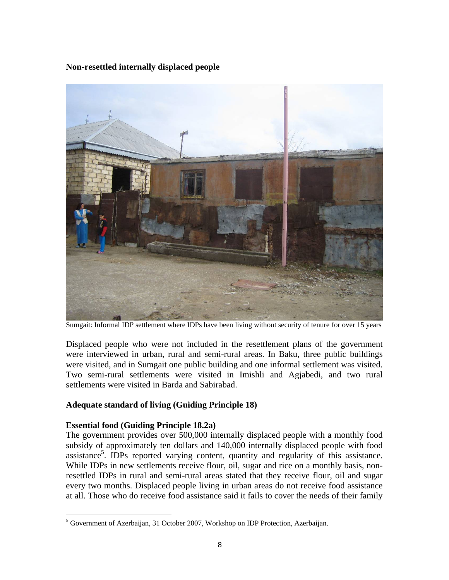**Non-resettled internally displaced people** 



Sumgait: Informal IDP settlement where IDPs have been living without security of tenure for over 15 years

Displaced people who were not included in the resettlement plans of the government were interviewed in urban, rural and semi-rural areas. In Baku, three public buildings were visited, and in Sumgait one public building and one informal settlement was visited. Two semi-rural settlements were visited in Imishli and Agjabedi, and two rural settlements were visited in Barda and Sabirabad.

## **Adequate standard of living (Guiding Principle 18)**

## **Essential food (Guiding Principle 18.2a)**

<u>.</u>

The government provides over 500,000 internally displaced people with a monthly food subsidy of approximately ten dollars and 140,000 internally displaced people with food assistance<sup>5</sup>. IDPs reported varying content, quantity and regularity of this assistance. While IDPs in new settlements receive flour, oil, sugar and rice on a monthly basis, nonresettled IDPs in rural and semi-rural areas stated that they receive flour, oil and sugar every two months. Displaced people living in urban areas do not receive food assistance at all. Those who do receive food assistance said it fails to cover the needs of their family

<sup>&</sup>lt;sup>5</sup> Government of Azerbaijan, 31 October 2007, Workshop on IDP Protection, Azerbaijan.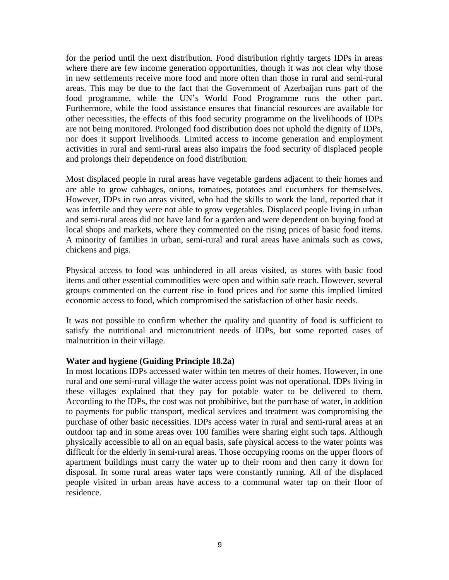for the period until the next distribution. Food distribution rightly targets IDPs in areas where there are few income generation opportunities, though it was not clear why those in new settlements receive more food and more often than those in rural and semi-rural areas. This may be due to the fact that the Government of Azerbaijan runs part of the food programme, while the UN's World Food Programme runs the other part. Furthermore, while the food assistance ensures that financial resources are available for other necessities, the effects of this food security programme on the livelihoods of IDPs are not being monitored. Prolonged food distribution does not uphold the dignity of IDPs, nor does it support livelihoods. Limited access to income generation and employment activities in rural and semi-rural areas also impairs the food security of displaced people and prolongs their dependence on food distribution.

Most displaced people in rural areas have vegetable gardens adjacent to their homes and are able to grow cabbages, onions, tomatoes, potatoes and cucumbers for themselves. However, IDPs in two areas visited, who had the skills to work the land, reported that it was infertile and they were not able to grow vegetables. Displaced people living in urban and semi-rural areas did not have land for a garden and were dependent on buying food at local shops and markets, where they commented on the rising prices of basic food items. A minority of families in urban, semi-rural and rural areas have animals such as cows, chickens and pigs.

Physical access to food was unhindered in all areas visited, as stores with basic food items and other essential commodities were open and within safe reach. However, several groups commented on the current rise in food prices and for some this implied limited economic access to food, which compromised the satisfaction of other basic needs.

It was not possible to confirm whether the quality and quantity of food is sufficient to satisfy the nutritional and micronutrient needs of IDPs, but some reported cases of malnutrition in their village.

#### **Water and hygiene (Guiding Principle 18.2a)**

In most locations IDPs accessed water within ten metres of their homes. However, in one rural and one semi-rural village the water access point was not operational. IDPs living in these villages explained that they pay for potable water to be delivered to them. According to the IDPs, the cost was not prohibitive, but the purchase of water, in addition to payments for public transport, medical services and treatment was compromising the purchase of other basic necessities. IDPs access water in rural and semi-rural areas at an outdoor tap and in some areas over 100 families were sharing eight such taps. Although physically accessible to all on an equal basis, safe physical access to the water points was difficult for the elderly in semi-rural areas. Those occupying rooms on the upper floors of apartment buildings must carry the water up to their room and then carry it down for disposal. In some rural areas water taps were constantly running. All of the displaced people visited in urban areas have access to a communal water tap on their floor of residence.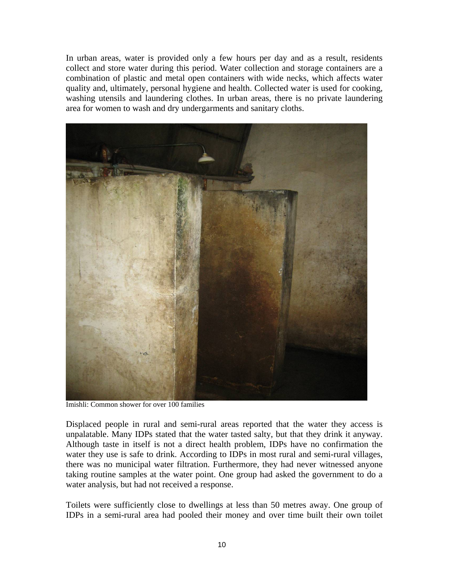In urban areas, water is provided only a few hours per day and as a result, residents collect and store water during this period. Water collection and storage containers are a combination of plastic and metal open containers with wide necks, which affects water quality and, ultimately, personal hygiene and health. Collected water is used for cooking, washing utensils and laundering clothes. In urban areas, there is no private laundering area for women to wash and dry undergarments and sanitary cloths.



Imishli: Common shower for over 100 families

Displaced people in rural and semi-rural areas reported that the water they access is unpalatable. Many IDPs stated that the water tasted salty, but that they drink it anyway. Although taste in itself is not a direct health problem, IDPs have no confirmation the water they use is safe to drink. According to IDPs in most rural and semi-rural villages, there was no municipal water filtration. Furthermore, they had never witnessed anyone taking routine samples at the water point. One group had asked the government to do a water analysis, but had not received a response.

Toilets were sufficiently close to dwellings at less than 50 metres away. One group of IDPs in a semi-rural area had pooled their money and over time built their own toilet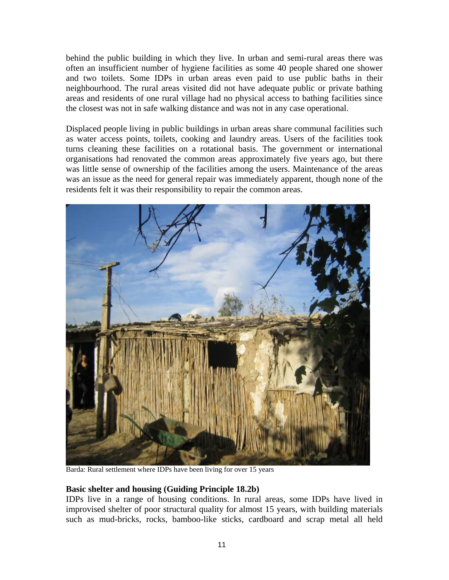behind the public building in which they live. In urban and semi-rural areas there was often an insufficient number of hygiene facilities as some 40 people shared one shower and two toilets. Some IDPs in urban areas even paid to use public baths in their neighbourhood. The rural areas visited did not have adequate public or private bathing areas and residents of one rural village had no physical access to bathing facilities since the closest was not in safe walking distance and was not in any case operational.

Displaced people living in public buildings in urban areas share communal facilities such as water access points, toilets, cooking and laundry areas. Users of the facilities took turns cleaning these facilities on a rotational basis. The government or international organisations had renovated the common areas approximately five years ago, but there was little sense of ownership of the facilities among the users. Maintenance of the areas was an issue as the need for general repair was immediately apparent, though none of the residents felt it was their responsibility to repair the common areas.



Barda: Rural settlement where IDPs have been living for over 15 years

## **Basic shelter and housing (Guiding Principle 18.2b)**

IDPs live in a range of housing conditions. In rural areas, some IDPs have lived in improvised shelter of poor structural quality for almost 15 years, with building materials such as mud-bricks, rocks, bamboo-like sticks, cardboard and scrap metal all held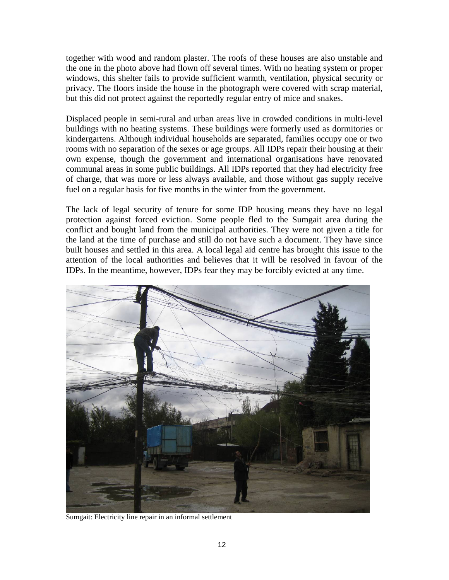together with wood and random plaster. The roofs of these houses are also unstable and the one in the photo above had flown off several times. With no heating system or proper windows, this shelter fails to provide sufficient warmth, ventilation, physical security or privacy. The floors inside the house in the photograph were covered with scrap material, but this did not protect against the reportedly regular entry of mice and snakes.

Displaced people in semi-rural and urban areas live in crowded conditions in multi-level buildings with no heating systems. These buildings were formerly used as dormitories or kindergartens. Although individual households are separated, families occupy one or two rooms with no separation of the sexes or age groups. All IDPs repair their housing at their own expense, though the government and international organisations have renovated communal areas in some public buildings. All IDPs reported that they had electricity free of charge, that was more or less always available, and those without gas supply receive fuel on a regular basis for five months in the winter from the government.

The lack of legal security of tenure for some IDP housing means they have no legal protection against forced eviction. Some people fled to the Sumgait area during the conflict and bought land from the municipal authorities. They were not given a title for the land at the time of purchase and still do not have such a document. They have since built houses and settled in this area. A local legal aid centre has brought this issue to the attention of the local authorities and believes that it will be resolved in favour of the IDPs. In the meantime, however, IDPs fear they may be forcibly evicted at any time.



Sumgait: Electricity line repair in an informal settlement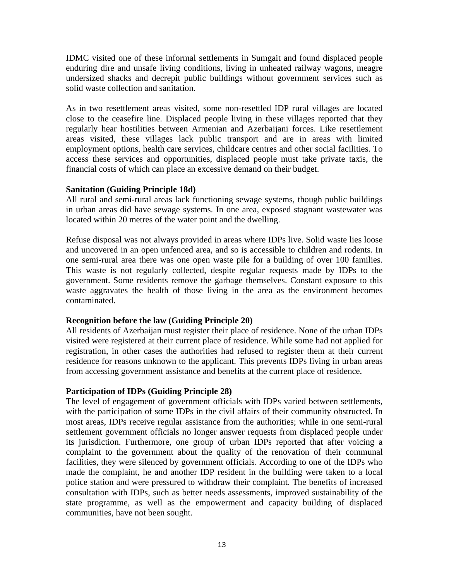IDMC visited one of these informal settlements in Sumgait and found displaced people enduring dire and unsafe living conditions, living in unheated railway wagons, meagre undersized shacks and decrepit public buildings without government services such as solid waste collection and sanitation.

As in two resettlement areas visited, some non-resettled IDP rural villages are located close to the ceasefire line. Displaced people living in these villages reported that they regularly hear hostilities between Armenian and Azerbaijani forces. Like resettlement areas visited, these villages lack public transport and are in areas with limited employment options, health care services, childcare centres and other social facilities. To access these services and opportunities, displaced people must take private taxis, the financial costs of which can place an excessive demand on their budget.

# **Sanitation (Guiding Principle 18d)**

All rural and semi-rural areas lack functioning sewage systems, though public buildings in urban areas did have sewage systems. In one area, exposed stagnant wastewater was located within 20 metres of the water point and the dwelling.

Refuse disposal was not always provided in areas where IDPs live. Solid waste lies loose and uncovered in an open unfenced area, and so is accessible to children and rodents. In one semi-rural area there was one open waste pile for a building of over 100 families. This waste is not regularly collected, despite regular requests made by IDPs to the government. Some residents remove the garbage themselves. Constant exposure to this waste aggravates the health of those living in the area as the environment becomes contaminated.

## **Recognition before the law (Guiding Principle 20)**

All residents of Azerbaijan must register their place of residence. None of the urban IDPs visited were registered at their current place of residence. While some had not applied for registration, in other cases the authorities had refused to register them at their current residence for reasons unknown to the applicant. This prevents IDPs living in urban areas from accessing government assistance and benefits at the current place of residence.

# **Participation of IDPs (Guiding Principle 28)**

The level of engagement of government officials with IDPs varied between settlements, with the participation of some IDPs in the civil affairs of their community obstructed. In most areas, IDPs receive regular assistance from the authorities; while in one semi-rural settlement government officials no longer answer requests from displaced people under its jurisdiction. Furthermore, one group of urban IDPs reported that after voicing a complaint to the government about the quality of the renovation of their communal facilities, they were silenced by government officials. According to one of the IDPs who made the complaint, he and another IDP resident in the building were taken to a local police station and were pressured to withdraw their complaint. The benefits of increased consultation with IDPs, such as better needs assessments, improved sustainability of the state programme, as well as the empowerment and capacity building of displaced communities, have not been sought.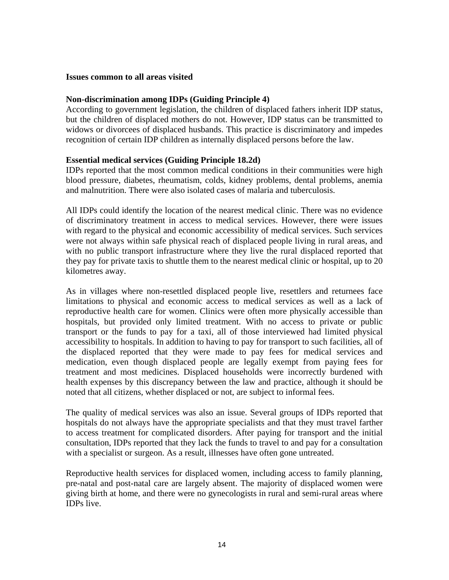#### **Issues common to all areas visited**

## **Non-discrimination among IDPs (Guiding Principle 4)**

According to government legislation, the children of displaced fathers inherit IDP status, but the children of displaced mothers do not. However, IDP status can be transmitted to widows or divorcees of displaced husbands. This practice is discriminatory and impedes recognition of certain IDP children as internally displaced persons before the law.

## **Essential medical services (Guiding Principle 18.2d)**

IDPs reported that the most common medical conditions in their communities were high blood pressure, diabetes, rheumatism, colds, kidney problems, dental problems, anemia and malnutrition. There were also isolated cases of malaria and tuberculosis.

All IDPs could identify the location of the nearest medical clinic. There was no evidence of discriminatory treatment in access to medical services. However, there were issues with regard to the physical and economic accessibility of medical services. Such services were not always within safe physical reach of displaced people living in rural areas, and with no public transport infrastructure where they live the rural displaced reported that they pay for private taxis to shuttle them to the nearest medical clinic or hospital, up to 20 kilometres away.

As in villages where non-resettled displaced people live, resettlers and returnees face limitations to physical and economic access to medical services as well as a lack of reproductive health care for women. Clinics were often more physically accessible than hospitals, but provided only limited treatment. With no access to private or public transport or the funds to pay for a taxi, all of those interviewed had limited physical accessibility to hospitals. In addition to having to pay for transport to such facilities, all of the displaced reported that they were made to pay fees for medical services and medication, even though displaced people are legally exempt from paying fees for treatment and most medicines. Displaced households were incorrectly burdened with health expenses by this discrepancy between the law and practice, although it should be noted that all citizens, whether displaced or not, are subject to informal fees.

The quality of medical services was also an issue. Several groups of IDPs reported that hospitals do not always have the appropriate specialists and that they must travel farther to access treatment for complicated disorders. After paying for transport and the initial consultation, IDPs reported that they lack the funds to travel to and pay for a consultation with a specialist or surgeon. As a result, illnesses have often gone untreated.

Reproductive health services for displaced women, including access to family planning, pre-natal and post-natal care are largely absent. The majority of displaced women were giving birth at home, and there were no gynecologists in rural and semi-rural areas where IDPs live.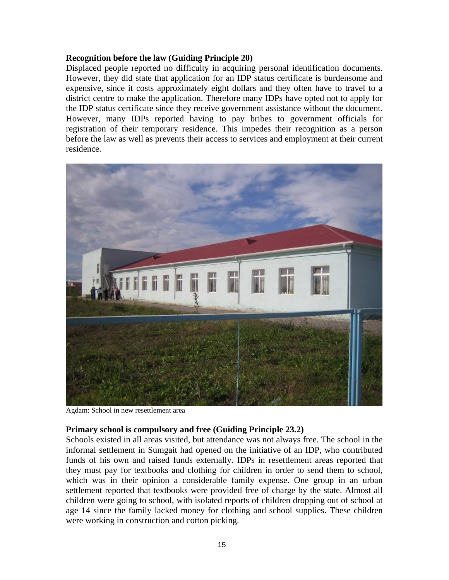#### **Recognition before the law (Guiding Principle 20)**

Displaced people reported no difficulty in acquiring personal identification documents. However, they did state that application for an IDP status certificate is burdensome and expensive, since it costs approximately eight dollars and they often have to travel to a district centre to make the application. Therefore many IDPs have opted not to apply for the IDP status certificate since they receive government assistance without the document. However, many IDPs reported having to pay bribes to government officials for registration of their temporary residence. This impedes their recognition as a person before the law as well as prevents their access to services and employment at their current residence.



Agdam: School in new resettlement area

#### **Primary school is compulsory and free (Guiding Principle 23.2)**

Schools existed in all areas visited, but attendance was not always free. The school in the informal settlement in Sumgait had opened on the initiative of an IDP, who contributed funds of his own and raised funds externally. IDPs in resettlement areas reported that they must pay for textbooks and clothing for children in order to send them to school, which was in their opinion a considerable family expense. One group in an urban settlement reported that textbooks were provided free of charge by the state. Almost all children were going to school, with isolated reports of children dropping out of school at age 14 since the family lacked money for clothing and school supplies. These children were working in construction and cotton picking.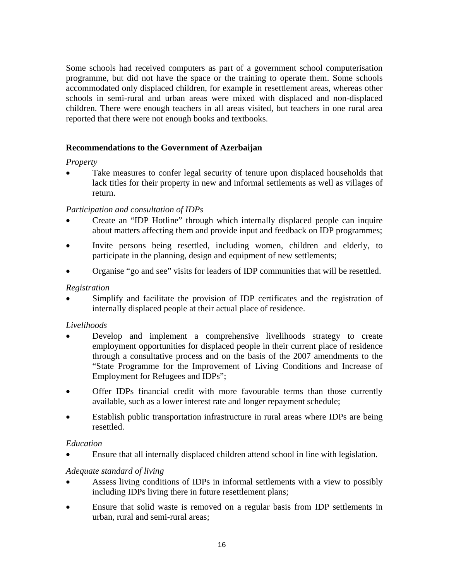Some schools had received computers as part of a government school computerisation programme, but did not have the space or the training to operate them. Some schools accommodated only displaced children, for example in resettlement areas, whereas other schools in semi-rural and urban areas were mixed with displaced and non-displaced children. There were enough teachers in all areas visited, but teachers in one rural area reported that there were not enough books and textbooks.

# **Recommendations to the Government of Azerbaijan**

# *Property*

Take measures to confer legal security of tenure upon displaced households that lack titles for their property in new and informal settlements as well as villages of return.

# *Participation and consultation of IDPs*

- Create an "IDP Hotline" through which internally displaced people can inquire about matters affecting them and provide input and feedback on IDP programmes;
- Invite persons being resettled, including women, children and elderly, to participate in the planning, design and equipment of new settlements;
- Organise "go and see" visits for leaders of IDP communities that will be resettled.

# *Registration*

Simplify and facilitate the provision of IDP certificates and the registration of internally displaced people at their actual place of residence.

# *Livelihoods*

- Develop and implement a comprehensive livelihoods strategy to create employment opportunities for displaced people in their current place of residence through a consultative process and on the basis of the 2007 amendments to the "State Programme for the Improvement of Living Conditions and Increase of Employment for Refugees and IDPs";
- Offer IDPs financial credit with more favourable terms than those currently available, such as a lower interest rate and longer repayment schedule;
- Establish public transportation infrastructure in rural areas where IDPs are being resettled.

## *Education*

• Ensure that all internally displaced children attend school in line with legislation.

# *Adequate standard of living*

- Assess living conditions of IDPs in informal settlements with a view to possibly including IDPs living there in future resettlement plans;
- Ensure that solid waste is removed on a regular basis from IDP settlements in urban, rural and semi-rural areas;